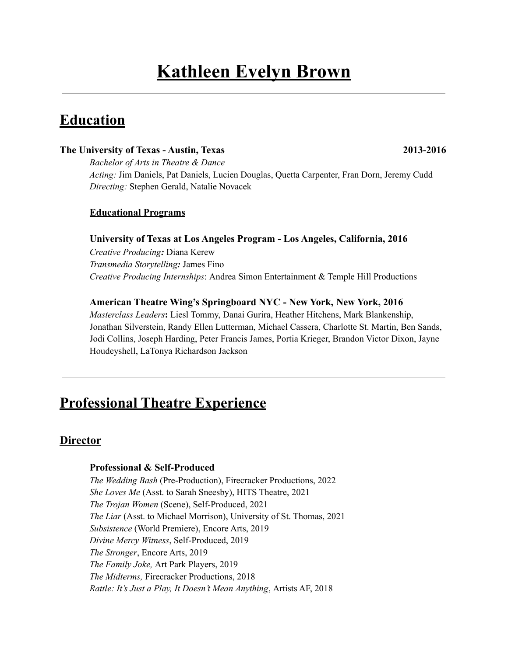# **Kathleen Evelyn Brown**

## **Education**

#### **The University of Texas - Austin, Texas 2013-2016**

*Bachelor of Arts in Theatre & Dance Acting:* Jim Daniels, Pat Daniels, Lucien Douglas, Quetta Carpenter, Fran Dorn, Jeremy Cudd *Directing:* Stephen Gerald, Natalie Novacek

#### **Educational Programs**

#### **University of Texas at Los Angeles Program - Los Angeles, California, 2016**

*Creative Producing:* Diana Kerew *Transmedia Storytelling:* James Fino *Creative Producing Internships*: Andrea Simon Entertainment & Temple Hill Productions

#### **American Theatre Wing's Springboard NYC - New York, New York, 2016**

*Masterclass Leaders***:** Liesl Tommy, Danai Gurira, Heather Hitchens, Mark Blankenship, Jonathan Silverstein, Randy Ellen Lutterman, Michael Cassera, Charlotte St. Martin, Ben Sands, Jodi Collins, Joseph Harding, Peter Francis James, Portia Krieger, Brandon Victor Dixon, Jayne Houdeyshell, LaTonya Richardson Jackson

## **Professional Theatre Experience**

#### **Director**

#### **Professional & Self-Produced**

*The Wedding Bash* (Pre-Production), Firecracker Productions, 2022 *She Loves Me* (Asst. to Sarah Sneesby), HITS Theatre, 2021 *The Trojan Women* (Scene), Self-Produced, 2021 *The Liar* (Asst. to Michael Morrison), University of St. Thomas, 2021 *Subsistence* (World Premiere), Encore Arts, 2019 *Divine Mercy Witness*, Self-Produced, 2019 *The Stronger*, Encore Arts, 2019 *The Family Joke,* Art Park Players, 2019 *The Midterms,* Firecracker Productions, 2018 *Rattle: It's Just a Play, It Doesn't Mean Anything*, Artists AF, 2018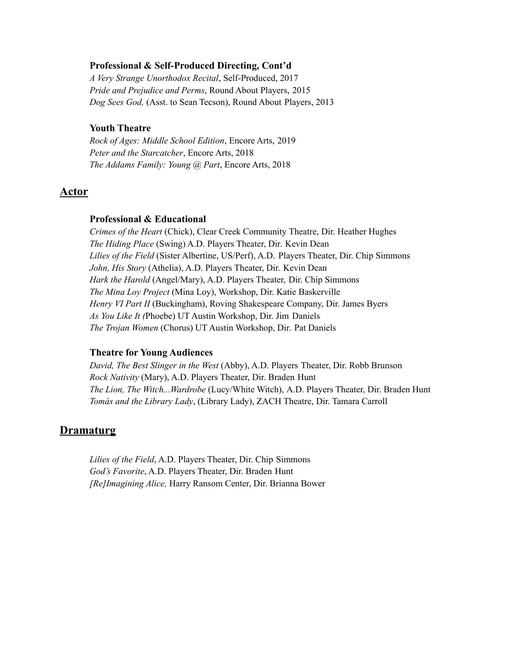#### **Professional & Self-Produced Directing, Cont'd**

*A Very Strange Unorthodox Recital*, Self-Produced, 2017 *Pride and Prejudice and Perms*, Round About Players, 2015 *Dog Sees God,* (Asst. to Sean Tecson), Round About Players, 2013

#### **Youth Theatre**

*Rock of Ages: Middle School Edition*, Encore Arts, 2019 *Peter and the Starcatcher*, Encore Arts, 2018 *The Addams Family: Young @ Part*, Encore Arts, 2018

#### **Actor**

#### **Professional & Educational**

*Crimes of the Heart* (Chick), Clear Creek Community Theatre, Dir. Heather Hughes *The Hiding Place* (Swing) A.D. Players Theater, Dir. Kevin Dean *Lilies of the Field* (Sister Albertine, US/Perf), A.D. Players Theater, Dir. Chip Simmons *John, His Story* (Athelia), A.D. Players Theater, Dir. Kevin Dean *Hark the Harold* (Angel/Mary), A.D. Players Theater, Dir. Chip Simmons *The Mina Loy Project* (Mina Loy), Workshop, Dir. Katie Baskerville *Henry VI Part II* (Buckingham), Roving Shakespeare Company, Dir. James Byers *As You Like It (*Phoebe) UT Austin Workshop, Dir. Jim Daniels *The Trojan Women* (Chorus) UT Austin Workshop, Dir. Pat Daniels

#### **Theatre for Young Audiences**

*David, The Best Slinger in the West* (Abby), A.D. Players Theater, Dir. Robb Brunson *Rock Nativity* (Mary), A.D. Players Theater, Dir. Braden Hunt *The Lion, The Witch...Wardrobe* (Lucy/White Witch), A.D. Players Theater, Dir. Braden Hunt *Tomás and the Library Lady*, (Library Lady), ZACH Theatre, Dir. Tamara Carroll

#### **Dramaturg**

*Lilies of the Field*, A.D. Players Theater, Dir. Chip Simmons *God's Favorite*, A.D. Players Theater, Dir. Braden Hunt *[Re]Imagining Alice,* Harry Ransom Center, Dir. Brianna Bower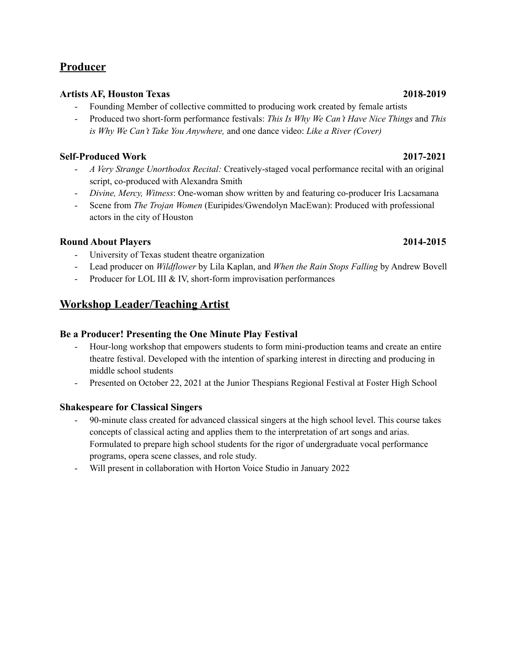### **Producer**

#### **Artists AF, Houston Texas 2018-2019**

- Founding Member of collective committed to producing work created by female artists
- Produced two short-form performance festivals: *This Is Why We Can't Have Nice Things* and *This is Why We Can't Take You Anywhere,* and one dance video: *Like a River (Cover)*

### **Self-Produced Work 2017-2021**

- *A Very Strange Unorthodox Recital:* Creatively-staged vocal performance recital with an original script, co-produced with Alexandra Smith
- *Divine, Mercy, Witness*: One-woman show written by and featuring co-producer Iris Lacsamana
- Scene from *The Trojan Women* (Euripides/Gwendolyn MacEwan): Produced with professional actors in the city of Houston

#### **Round About Players 2014-2015**

- University of Texas student theatre organization
- Lead producer on *Wildflower* by Lila Kaplan, and *When the Rain Stops Falling* by Andrew Bovell
- Producer for LOL III & IV, short-form improvisation performances

### **Workshop Leader/Teaching Artist**

#### **Be a Producer! Presenting the One Minute Play Festival**

- Hour-long workshop that empowers students to form mini-production teams and create an entire theatre festival. Developed with the intention of sparking interest in directing and producing in middle school students
- Presented on October 22, 2021 at the Junior Thespians Regional Festival at Foster High School

#### **Shakespeare for Classical Singers**

- 90-minute class created for advanced classical singers at the high school level. This course takes concepts of classical acting and applies them to the interpretation of art songs and arias. Formulated to prepare high school students for the rigor of undergraduate vocal performance programs, opera scene classes, and role study.
- Will present in collaboration with Horton Voice Studio in January 2022